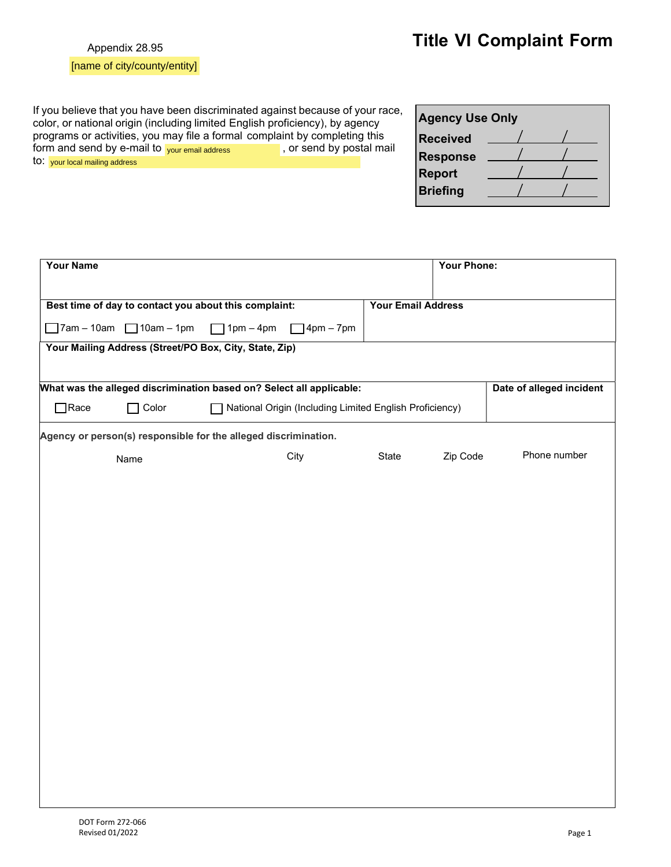|  |  |  |  | [name of city/county/entity] |
|--|--|--|--|------------------------------|
|--|--|--|--|------------------------------|

your email address your local mailing address

 $\Box$  $\Box$  $\hfill \square$  $\Box$ 

 $\Box$  $\hfill \square$  $\Box$